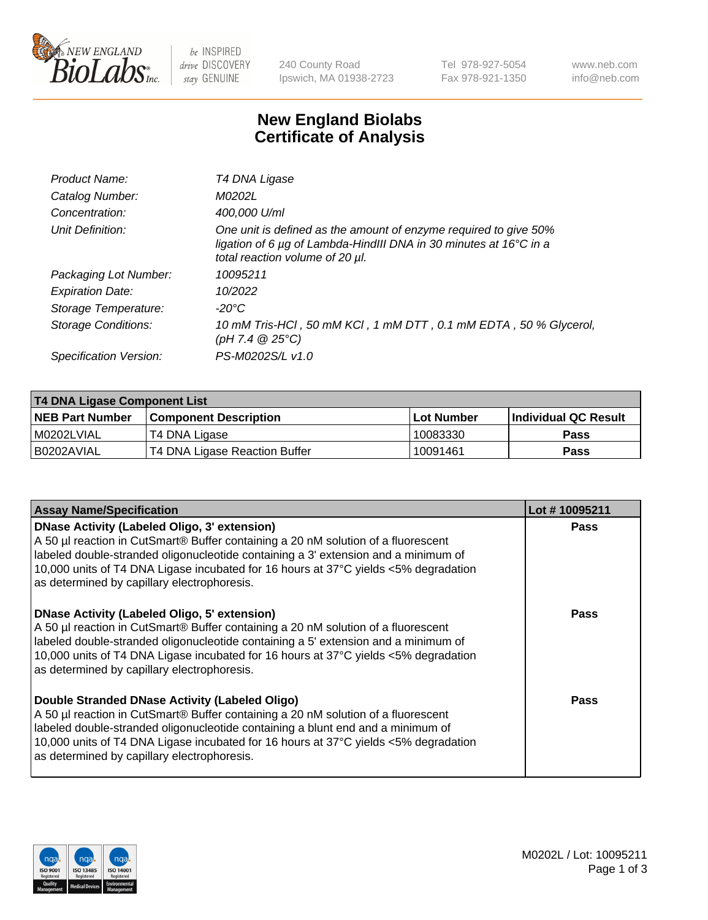

be INSPIRED drive DISCOVERY stay GENUINE

240 County Road Ipswich, MA 01938-2723 Tel 978-927-5054 Fax 978-921-1350 www.neb.com info@neb.com

## **New England Biolabs Certificate of Analysis**

| Product Name:              | T4 DNA Ligase                                                                                                                                                            |
|----------------------------|--------------------------------------------------------------------------------------------------------------------------------------------------------------------------|
| Catalog Number:            | M0202L                                                                                                                                                                   |
| Concentration:             | 400,000 U/ml                                                                                                                                                             |
| Unit Definition:           | One unit is defined as the amount of enzyme required to give 50%<br>ligation of 6 µg of Lambda-HindIII DNA in 30 minutes at 16°C in a<br>total reaction volume of 20 µl. |
| Packaging Lot Number:      | 10095211                                                                                                                                                                 |
| <b>Expiration Date:</b>    | 10/2022                                                                                                                                                                  |
| Storage Temperature:       | $-20^{\circ}$ C                                                                                                                                                          |
| <b>Storage Conditions:</b> | 10 mM Tris-HCl, 50 mM KCl, 1 mM DTT, 0.1 mM EDTA, 50 % Glycerol,<br>(pH 7.4 $@25°C$ )                                                                                    |
| Specification Version:     | PS-M0202S/L v1.0                                                                                                                                                         |

| T4 DNA Ligase Component List |                               |              |                             |  |  |
|------------------------------|-------------------------------|--------------|-----------------------------|--|--|
| <b>NEB Part Number</b>       | <b>Component Description</b>  | l Lot Number | <b>Individual QC Result</b> |  |  |
| M0202LVIAL                   | T4 DNA Ligase                 | 10083330     | <b>Pass</b>                 |  |  |
| I B0202AVIAL                 | T4 DNA Ligase Reaction Buffer | 10091461     | <b>Pass</b>                 |  |  |

| <b>Assay Name/Specification</b>                                                                                                                                                                                                                                                                                                                               | Lot #10095211 |
|---------------------------------------------------------------------------------------------------------------------------------------------------------------------------------------------------------------------------------------------------------------------------------------------------------------------------------------------------------------|---------------|
| DNase Activity (Labeled Oligo, 3' extension)<br>A 50 µl reaction in CutSmart® Buffer containing a 20 nM solution of a fluorescent<br>labeled double-stranded oligonucleotide containing a 3' extension and a minimum of<br>10,000 units of T4 DNA Ligase incubated for 16 hours at 37°C yields <5% degradation<br>as determined by capillary electrophoresis. | <b>Pass</b>   |
| DNase Activity (Labeled Oligo, 5' extension)<br>A 50 µl reaction in CutSmart® Buffer containing a 20 nM solution of a fluorescent<br>labeled double-stranded oligonucleotide containing a 5' extension and a minimum of<br>10,000 units of T4 DNA Ligase incubated for 16 hours at 37°C yields <5% degradation<br>as determined by capillary electrophoresis. | <b>Pass</b>   |
| Double Stranded DNase Activity (Labeled Oligo)<br>A 50 µl reaction in CutSmart® Buffer containing a 20 nM solution of a fluorescent<br>abeled double-stranded oligonucleotide containing a blunt end and a minimum of<br>10,000 units of T4 DNA Ligase incubated for 16 hours at 37°C yields <5% degradation<br>as determined by capillary electrophoresis.   | Pass          |

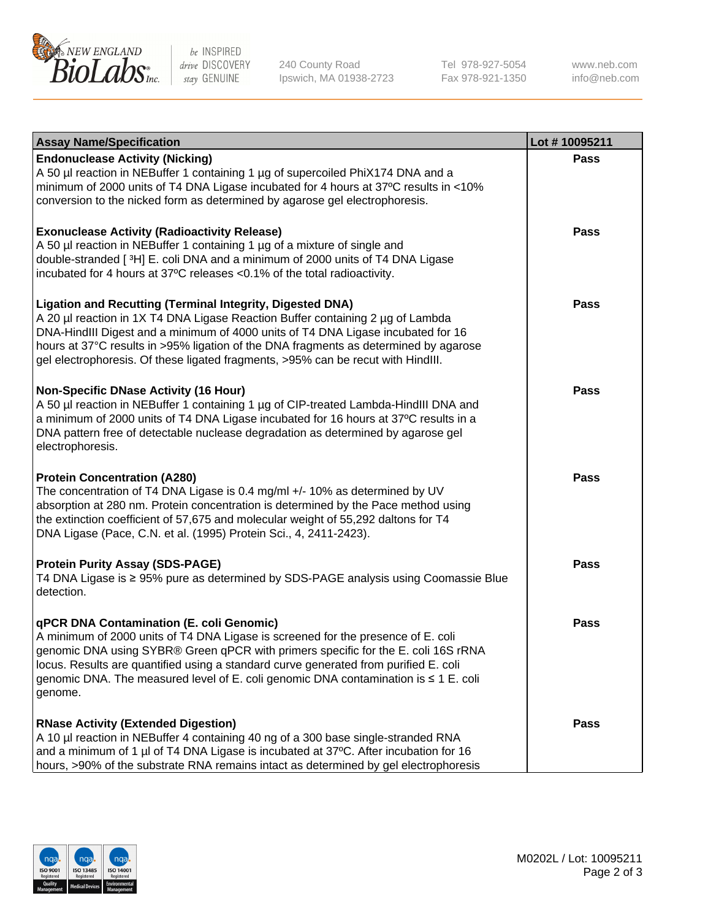

be INSPIRED drive DISCOVERY stay GENUINE

240 County Road Ipswich, MA 01938-2723 Tel 978-927-5054 Fax 978-921-1350

www.neb.com info@neb.com

| <b>Assay Name/Specification</b>                                                                                                                                                                                                                                                                                                                                                                                    | Lot #10095211 |
|--------------------------------------------------------------------------------------------------------------------------------------------------------------------------------------------------------------------------------------------------------------------------------------------------------------------------------------------------------------------------------------------------------------------|---------------|
| <b>Endonuclease Activity (Nicking)</b><br>A 50 µl reaction in NEBuffer 1 containing 1 µg of supercoiled PhiX174 DNA and a<br>minimum of 2000 units of T4 DNA Ligase incubated for 4 hours at 37°C results in <10%<br>conversion to the nicked form as determined by agarose gel electrophoresis.                                                                                                                   | <b>Pass</b>   |
| <b>Exonuclease Activity (Radioactivity Release)</b><br>A 50 µl reaction in NEBuffer 1 containing 1 µg of a mixture of single and<br>double-stranded [3H] E. coli DNA and a minimum of 2000 units of T4 DNA Ligase<br>incubated for 4 hours at 37°C releases <0.1% of the total radioactivity.                                                                                                                      | <b>Pass</b>   |
| <b>Ligation and Recutting (Terminal Integrity, Digested DNA)</b><br>A 20 µl reaction in 1X T4 DNA Ligase Reaction Buffer containing 2 µg of Lambda<br>DNA-HindIII Digest and a minimum of 4000 units of T4 DNA Ligase incubated for 16<br>hours at 37°C results in >95% ligation of the DNA fragments as determined by agarose<br>gel electrophoresis. Of these ligated fragments, >95% can be recut with HindIII. | <b>Pass</b>   |
| <b>Non-Specific DNase Activity (16 Hour)</b><br>A 50 µl reaction in NEBuffer 1 containing 1 µg of CIP-treated Lambda-HindIII DNA and<br>a minimum of 2000 units of T4 DNA Ligase incubated for 16 hours at 37°C results in a<br>DNA pattern free of detectable nuclease degradation as determined by agarose gel<br>electrophoresis.                                                                               | <b>Pass</b>   |
| <b>Protein Concentration (A280)</b><br>The concentration of T4 DNA Ligase is 0.4 mg/ml +/- 10% as determined by UV<br>absorption at 280 nm. Protein concentration is determined by the Pace method using<br>the extinction coefficient of 57,675 and molecular weight of 55,292 daltons for T4<br>DNA Ligase (Pace, C.N. et al. (1995) Protein Sci., 4, 2411-2423).                                                | <b>Pass</b>   |
| <b>Protein Purity Assay (SDS-PAGE)</b><br>T4 DNA Ligase is ≥ 95% pure as determined by SDS-PAGE analysis using Coomassie Blue<br>detection.                                                                                                                                                                                                                                                                        | <b>Pass</b>   |
| qPCR DNA Contamination (E. coli Genomic)<br>A minimum of 2000 units of T4 DNA Ligase is screened for the presence of E. coli<br>genomic DNA using SYBR® Green qPCR with primers specific for the E. coli 16S rRNA<br>locus. Results are quantified using a standard curve generated from purified E. coli<br>genomic DNA. The measured level of E. coli genomic DNA contamination is ≤ 1 E. coli<br>genome.        | Pass          |
| <b>RNase Activity (Extended Digestion)</b><br>A 10 µl reaction in NEBuffer 4 containing 40 ng of a 300 base single-stranded RNA<br>and a minimum of 1 µl of T4 DNA Ligase is incubated at 37°C. After incubation for 16<br>hours, >90% of the substrate RNA remains intact as determined by gel electrophoresis                                                                                                    | <b>Pass</b>   |